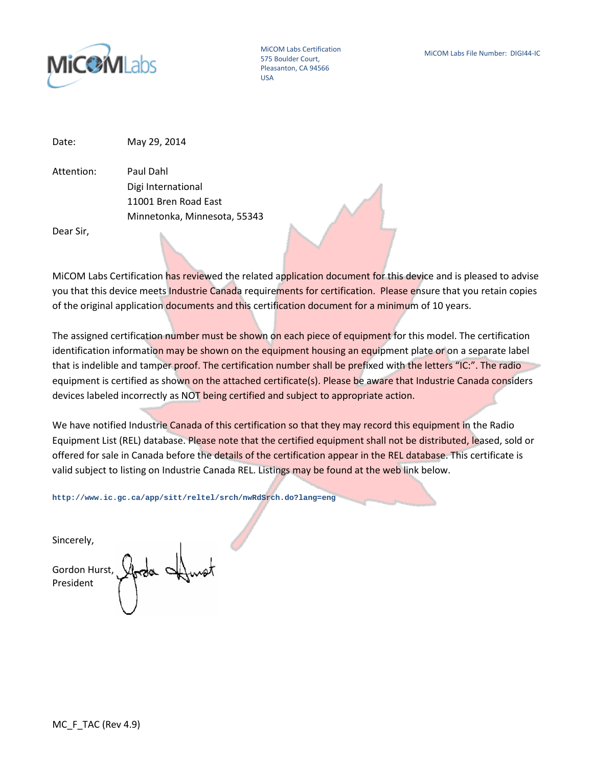

MiCOM Labs Certification 575 Boulder Court, Pleasanton, CA 94566 USA

Date: May 29, 2014

Attention: Paul Dahl Digi International 11001 Bren Road East Minnetonka, Minnesota, 55343

Dear Sir,

MiCOM Labs Certification has reviewed the related application document for this device and is pleased to advise you that this device meets Industrie Canada requirements for certification. Please ensure that you retain copies of the original application documents and this certification document for a minimum of 10 years.

The assigned certification number must be shown on each piece of equipment for this model. The certification identification information may be shown on the equipment housing an equipment plate or on a separate label that is indelible and tamper proof. The certification number shall be prefixed with the letters "IC:". The radio equipment is certified as shown on the attached certificate(s). Please be aware that Industrie Canada considers devices labeled incorrectly as NOT being certified and subject to appropriate action.

We have notified Industrie Canada of this certification so that they may record this equipment in the Radio Equipment List (REL) database. Please note that the certified equipment shall not be distributed, leased, sold or offered for sale in Canada before the details of the certification appear in the REL database. This certificate is valid subject to listing on Industrie Canada REL. Listings may be found at the web link below.

**http://www.ic.gc.ca/app/sitt/reltel/srch/nwRdSrch.do?lang=eng**

Sincerely,

Gordon Hurst, President